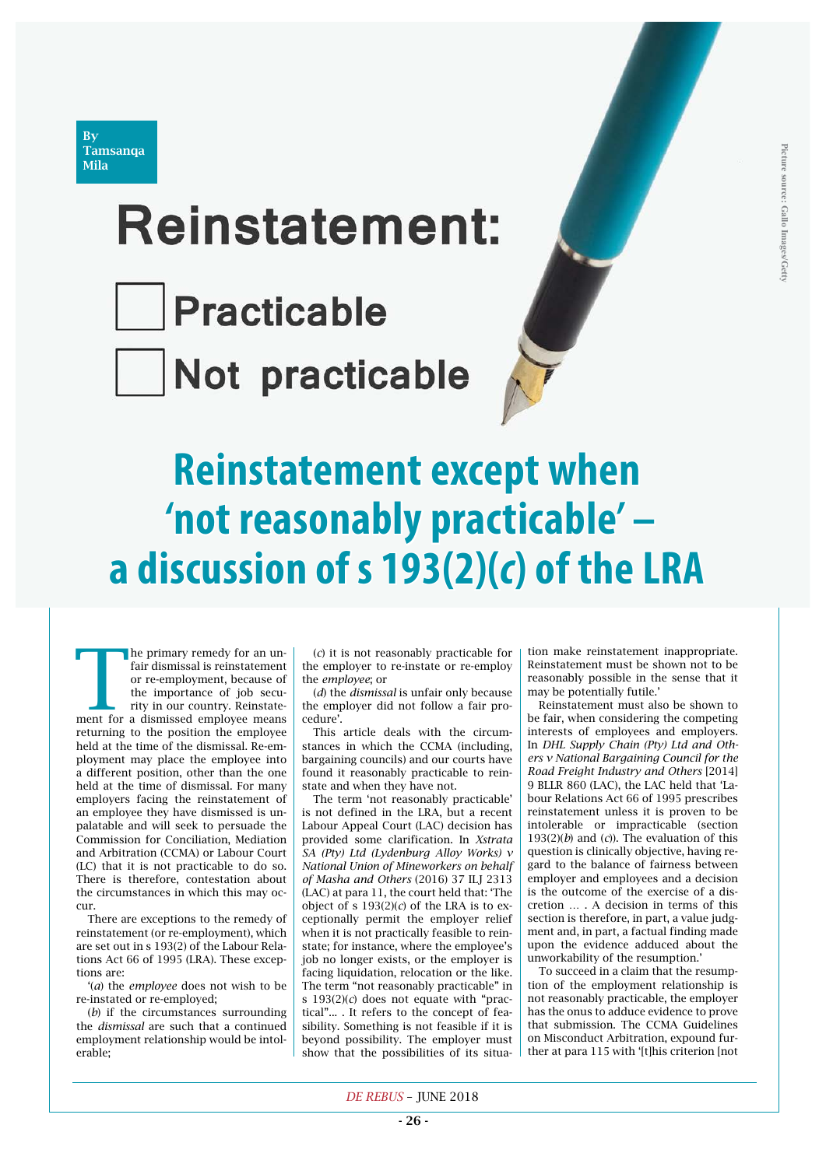

# **Reinstatement:**

Practicable

Not practicable

# **Reinstatement except when 'not reasonably practicable' – a discussion of s 193(2)(***c***) of the LRA**

The primary remedy for an un-<br>fair dismissal is reinstatement<br>or re-employment, because of<br>the importance of job secu-<br>rity in our country. Reinstate-<br>ment for a dismissed employee means fair dismissal is reinstatement or re-employment, because of the importance of job security in our country. Reinstatereturning to the position the employee held at the time of the dismissal. Re-employment may place the employee into a different position, other than the one held at the time of dismissal. For many employers facing the reinstatement of an employee they have dismissed is unpalatable and will seek to persuade the Commission for Conciliation, Mediation and Arbitration (CCMA) or Labour Court (LC) that it is not practicable to do so. There is therefore, contestation about the circumstances in which this may occur.

There are exceptions to the remedy of reinstatement (or re-employment), which are set out in s 193(2) of the Labour Relations Act 66 of 1995 (LRA). These exceptions are:

'(*a*) the *employee* does not wish to be re-instated or re-employed;

(*b*) if the circumstances surrounding the *dismissal* are such that a continued employment relationship would be intolerable;

(*c*) it is not reasonably practicable for the employer to re-instate or re-employ the *employee*; or

(*d*) the *dismissal* is unfair only because the employer did not follow a fair procedure'.

This article deals with the circumstances in which the CCMA (including, bargaining councils) and our courts have found it reasonably practicable to reinstate and when they have not.

The term 'not reasonably practicable' is not defined in the LRA, but a recent Labour Appeal Court (LAC) decision has provided some clarification. In *Xstrata SA (Pty) Ltd (Lydenburg Alloy Works) v National Union of Mineworkers on behalf of Masha and Others* (2016) 37 ILJ 2313 (LAC) at para 11, the court held that: 'The object of s  $193(2)(c)$  of the LRA is to exceptionally permit the employer relief when it is not practically feasible to reinstate; for instance, where the employee's job no longer exists, or the employer is facing liquidation, relocation or the like. The term "not reasonably practicable" in s 193(2)(*c*) does not equate with "practical"... . It refers to the concept of feasibility. Something is not feasible if it is beyond possibility. The employer must show that the possibilities of its situation make reinstatement inappropriate. Reinstatement must be shown not to be reasonably possible in the sense that it may be potentially futile.'

Reinstatement must also be shown to be fair, when considering the competing interests of employees and employers. In *DHL Supply Chain (Pty) Ltd and Others v National Bargaining Council for the Road Freight Industry and Others* [2014] 9 BLLR 860 (LAC), the LAC held that 'Labour Relations Act 66 of 1995 prescribes reinstatement unless it is proven to be intolerable or impracticable (section 193(2)(*b*) and (*c*)). The evaluation of this question is clinically objective, having regard to the balance of fairness between employer and employees and a decision is the outcome of the exercise of a discretion … . A decision in terms of this section is therefore, in part, a value judgment and, in part, a factual finding made upon the evidence adduced about the unworkability of the resumption.'

To succeed in a claim that the resumption of the employment relationship is not reasonably practicable, the employer has the onus to adduce evidence to prove that submission. The CCMA Guidelines on Misconduct Arbitration, expound further at para 115 with '[t]his criterion [not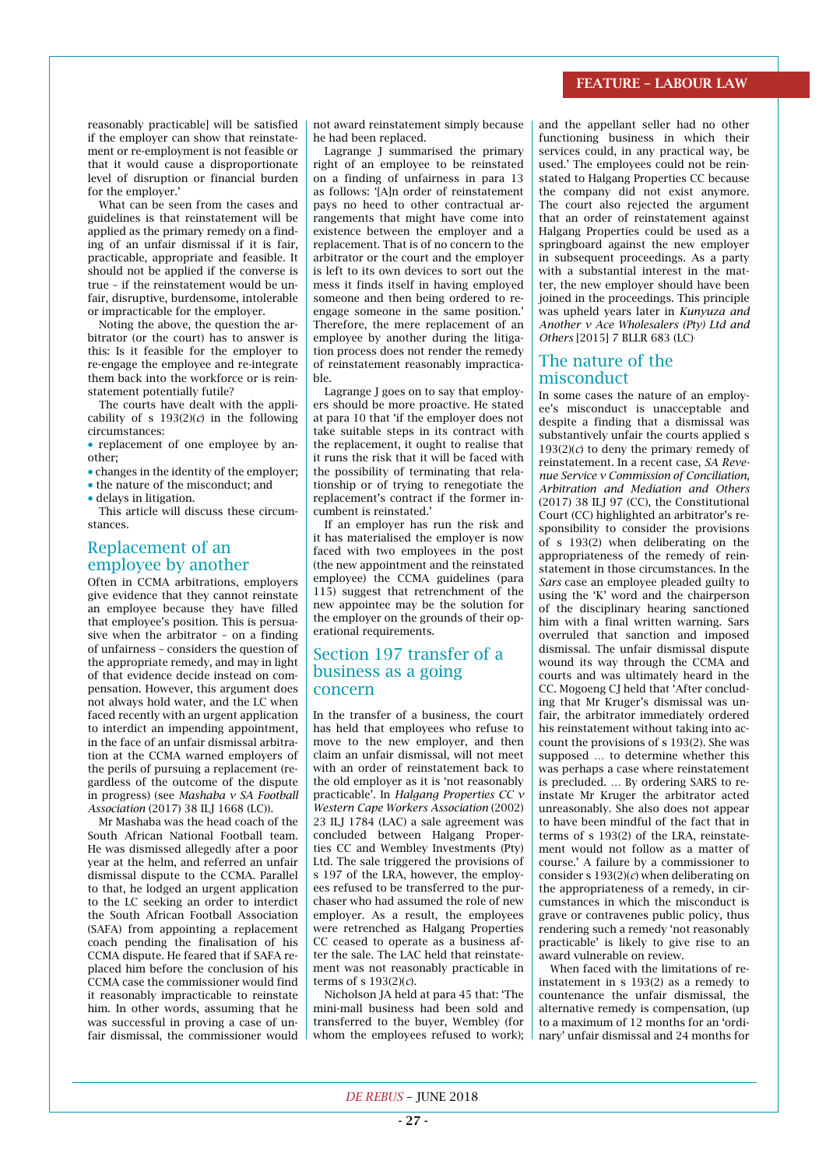#### FEATURE – LABOUR LAW

reasonably practicable] will be satisfied if the employer can show that reinstatement or re-employment is not feasible or that it would cause a disproportionate level of disruption or financial burden for the employer.'

What can be seen from the cases and guidelines is that reinstatement will be applied as the primary remedy on a finding of an unfair dismissal if it is fair, practicable, appropriate and feasible. It should not be applied if the converse is true – if the reinstatement would be unfair, disruptive, burdensome, intolerable or impracticable for the employer.

Noting the above, the question the arbitrator (or the court) has to answer is this: Is it feasible for the employer to re-engage the employee and re-integrate them back into the workforce or is reinstatement potentially futile?

The courts have dealt with the applicability of s  $193(2)(c)$  in the following circumstances:

• replacement of one employee by another;

- changes in the identity of the employer:  $\bullet$  the nature of the misconduct; and
- $\bullet$  delays in litigation.

This article will discuss these circumstances.

# Replacement of an employee by another

Often in CCMA arbitrations, employers give evidence that they cannot reinstate an employee because they have filled that employee's position. This is persuasive when the arbitrator – on a finding of unfairness – considers the question of the appropriate remedy, and may in light of that evidence decide instead on compensation. However, this argument does not always hold water, and the LC when faced recently with an urgent application to interdict an impending appointment, in the face of an unfair dismissal arbitration at the CCMA warned employers of the perils of pursuing a replacement (regardless of the outcome of the dispute in progress) (see *Mashaba v SA Football Association* (2017) 38 ILJ 1668 (LC)).

Mr Mashaba was the head coach of the South African National Football team. He was dismissed allegedly after a poor year at the helm, and referred an unfair dismissal dispute to the CCMA. Parallel to that, he lodged an urgent application to the LC seeking an order to interdict the South African Football Association (SAFA) from appointing a replacement coach pending the finalisation of his CCMA dispute. He feared that if SAFA replaced him before the conclusion of his CCMA case the commissioner would find it reasonably impracticable to reinstate him. In other words, assuming that he was successful in proving a case of unfair dismissal, the commissioner would not award reinstatement simply because he had been replaced.

Lagrange J summarised the primary right of an employee to be reinstated on a finding of unfairness in para 13 as follows: '[A]n order of reinstatement pays no heed to other contractual arrangements that might have come into existence between the employer and a replacement. That is of no concern to the arbitrator or the court and the employer is left to its own devices to sort out the mess it finds itself in having employed someone and then being ordered to reengage someone in the same position.' Therefore, the mere replacement of an employee by another during the litigation process does not render the remedy of reinstatement reasonably impracticable.

Lagrange J goes on to say that employers should be more proactive. He stated at para 10 that 'if the employer does not take suitable steps in its contract with the replacement, it ought to realise that it runs the risk that it will be faced with the possibility of terminating that relationship or of trying to renegotiate the replacement's contract if the former incumbent is reinstated.'

If an employer has run the risk and it has materialised the employer is now faced with two employees in the post (the new appointment and the reinstated employee) the CCMA guidelines (para 115) suggest that retrenchment of the new appointee may be the solution for the employer on the grounds of their operational requirements.

# Section 197 transfer of a business as a going concern

In the transfer of a business, the court has held that employees who refuse to move to the new employer, and then claim an unfair dismissal, will not meet with an order of reinstatement back to the old employer as it is 'not reasonably practicable'. In *Halgang Properties CC v Western Cape Workers Association* (2002) 23 ILJ 1784 (LAC) a sale agreement was concluded between Halgang Properties CC and Wembley Investments (Pty) Ltd. The sale triggered the provisions of s 197 of the LRA, however, the employees refused to be transferred to the purchaser who had assumed the role of new employer. As a result, the employees were retrenched as Halgang Properties CC ceased to operate as a business after the sale. The LAC held that reinstatement was not reasonably practicable in terms of s 193(2)(*c*).

Nicholson JA held at para 45 that: 'The mini-mall business had been sold and transferred to the buyer, Wembley (for whom the employees refused to work); and the appellant seller had no other functioning business in which their services could, in any practical way, be used.' The employees could not be reinstated to Halgang Properties CC because the company did not exist anymore. The court also rejected the argument that an order of reinstatement against Halgang Properties could be used as a springboard against the new employer in subsequent proceedings. As a party with a substantial interest in the matter, the new employer should have been joined in the proceedings. This principle was upheld years later in *Kunyuza and Another v Ace Wholesalers (Pty) Ltd and Others* [2015] 7 BLLR 683 (LC).

## The nature of the misconduct

In some cases the nature of an employee's misconduct is unacceptable and despite a finding that a dismissal was substantively unfair the courts applied s  $193(2)(c)$  to deny the primary remedy of reinstatement. In a recent case, *SA Revenue Service v Commission of Conciliation, Arbitration and Mediation and Others* (2017) 38 ILJ 97 (CC), the Constitutional Court (CC) highlighted an arbitrator's responsibility to consider the provisions of s 193(2) when deliberating on the appropriateness of the remedy of reinstatement in those circumstances. In the *Sars* case an employee pleaded guilty to using the 'K' word and the chairperson of the disciplinary hearing sanctioned him with a final written warning. Sars overruled that sanction and imposed dismissal. The unfair dismissal dispute wound its way through the CCMA and courts and was ultimately heard in the CC. Mogoeng CJ held that 'After concluding that Mr Kruger's dismissal was unfair, the arbitrator immediately ordered his reinstatement without taking into account the provisions of s 193(2). She was supposed … to determine whether this was perhaps a case where reinstatement is precluded. … By ordering SARS to reinstate Mr Kruger the arbitrator acted unreasonably. She also does not appear to have been mindful of the fact that in terms of s 193(2) of the LRA, reinstatement would not follow as a matter of course.' A failure by a commissioner to consider s 193(2)(*c*) when deliberating on the appropriateness of a remedy, in circumstances in which the misconduct is grave or contravenes public policy, thus rendering such a remedy 'not reasonably practicable' is likely to give rise to an award vulnerable on review.

When faced with the limitations of reinstatement in s 193(2) as a remedy to countenance the unfair dismissal, the alternative remedy is compensation, (up to a maximum of 12 months for an 'ordinary' unfair dismissal and 24 months for